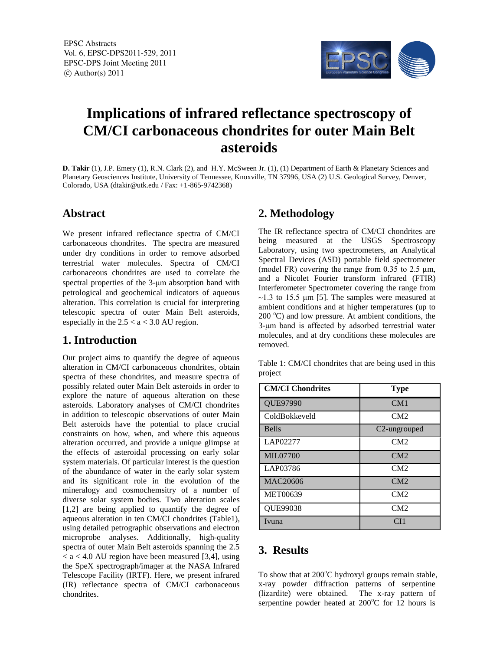EPSC Abstracts Vol. 6, EPSC-DPS2011-529, 2011 EPSC-DPS Joint Meeting 2011  $\circ$  Author(s) 2011



# **Implications of infrared reflectance spectroscopy of CM/CI carbonaceous chondrites for outer Main Belt asteroids**

**D. Takir** (1), J.P. Emery (1), R.N. Clark (2), and H.Y. McSween Jr. (1), (1) Department of Earth & Planetary Sciences and Planetary Geosciences Institute, University of Tennessee, Knoxville, TN 37996, USA (2) U.S. Geological Survey, Denver, Colorado, USA (dtakir@utk.edu / Fax: +1-865-9742368)

## **Abstract**

We present infrared reflectance spectra of CM/CI carbonaceous chondrites. The spectra are measured under dry conditions in order to remove adsorbed terrestrial water molecules. Spectra of CM/CI carbonaceous chondrites are used to correlate the spectral properties of the 3-μm absorption band with petrological and geochemical indicators of aqueous alteration. This correlation is crucial for interpreting telescopic spectra of outer Main Belt asteroids, especially in the  $2.5 < a < 3.0$  AU region.

## **1. Introduction**

Our project aims to quantify the degree of aqueous alteration in CM/CI carbonaceous chondrites, obtain spectra of these chondrites, and measure spectra of possibly related outer Main Belt asteroids in order to explore the nature of aqueous alteration on these asteroids. Laboratory analyses of CM/CI chondrites in addition to telescopic observations of outer Main Belt asteroids have the potential to place crucial constraints on how, when, and where this aqueous alteration occurred, and provide a unique glimpse at the effects of asteroidal processing on early solar system materials. Of particular interest is the question of the abundance of water in the early solar system and its significant role in the evolution of the mineralogy and cosmochemsitry of a number of diverse solar system bodies. Two alteration scales [1,2] are being applied to quantify the degree of aqueous alteration in ten CM/CI chondrites (Table1), using detailed petrographic observations and electron microprobe analyses. Additionally, high-quality spectra of outer Main Belt asteroids spanning the 2.5  $<$  a  $<$  4.0 AU region have been measured [3,4], using the SpeX spectrograph/imager at the NASA Infrared Telescope Facility (IRTF). Here, we present infrared (IR) reflectance spectra of CM/CI carbonaceous chondrites.

## **2. Methodology**

The IR reflectance spectra of CM/CI chondrites are being measured at the USGS Spectroscopy Laboratory, using two spectrometers, an Analytical Spectral Devices (ASD) portable field spectrometer (model FR) covering the range from  $0.35$  to  $2.5 \mu m$ , and a Nicolet Fourier transform infrared (FTIR) Interferometer Spectrometer covering the range from  $\sim$ 1.3 to 15.5 µm [5]. The samples were measured at ambient conditions and at higher temperatures (up to  $200^{\circ}$ C) and low pressure. At ambient conditions, the 3-μm band is affected by adsorbed terrestrial water molecules, and at dry conditions these molecules are removed.

Table 1: CM/CI chondrites that are being used in this project

| <b>CM/CI Chondrites</b> | <b>Type</b>               |
|-------------------------|---------------------------|
| QUE97990                | CM1                       |
| ColdBokkeveld           | CM2                       |
| <b>Bells</b>            | C <sub>2</sub> -ungrouped |
| LAP02277                | CM2                       |
| <b>MIL07700</b>         | CM2                       |
| LAP03786                | CM2                       |
| <b>MAC20606</b>         | CM2                       |
| <b>MET00639</b>         | CM2                       |
| QUE99038                | CM2                       |
| Ivuna                   | CH1                       |

## **3. Results**

To show that at  $200^{\circ}$ C hydroxyl groups remain stable, x-ray powder diffraction patterns of serpentine (lizardite) were obtained. The x-ray pattern of serpentine powder heated at  $200^{\circ}$ C for 12 hours is